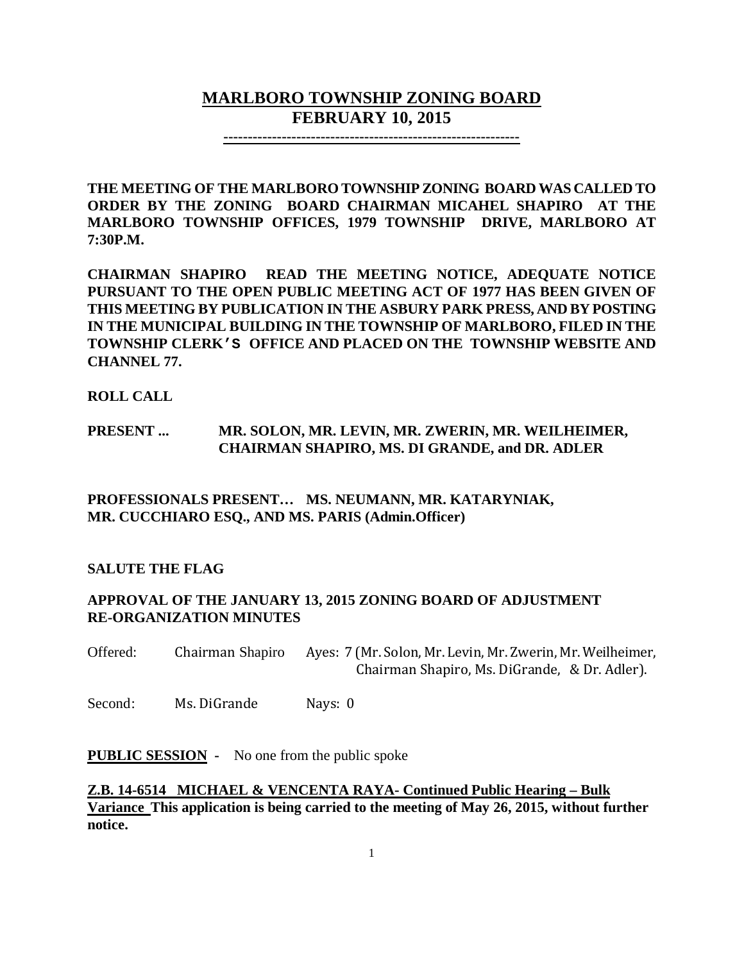# **MARLBORO TOWNSHIP ZONING BOARD FEBRUARY 10, 2015**

**-------------------------------------------------------------**

**THE MEETING OF THE MARLBORO TOWNSHIP ZONING BOARD WAS CALLED TO ORDER BY THE ZONING BOARD CHAIRMAN MICAHEL SHAPIRO AT THE MARLBORO TOWNSHIP OFFICES, 1979 TOWNSHIP DRIVE, MARLBORO AT 7:30P.M.**

**CHAIRMAN SHAPIRO READ THE MEETING NOTICE, ADEQUATE NOTICE PURSUANT TO THE OPEN PUBLIC MEETING ACT OF 1977 HAS BEEN GIVEN OF THIS MEETING BY PUBLICATION IN THE ASBURY PARK PRESS, AND BY POSTING IN THE MUNICIPAL BUILDING IN THE TOWNSHIP OF MARLBORO, FILED IN THE TOWNSHIP CLERK'S OFFICE AND PLACED ON THE TOWNSHIP WEBSITE AND CHANNEL 77.**

#### **ROLL CALL**

### **PRESENT ... MR. SOLON, MR. LEVIN, MR. ZWERIN, MR. WEILHEIMER, CHAIRMAN SHAPIRO, MS. DI GRANDE, and DR. ADLER**

**PROFESSIONALS PRESENT… MS. NEUMANN, MR. KATARYNIAK, MR. CUCCHIARO ESQ., AND MS. PARIS (Admin.Officer)**

#### **SALUTE THE FLAG**

#### **APPROVAL OF THE JANUARY 13, 2015 ZONING BOARD OF ADJUSTMENT RE-ORGANIZATION MINUTES**

Offered: Chairman Shapiro Ayes: 7 (Mr. Solon, Mr. Levin, Mr. Zwerin, Mr. Weilheimer, Chairman Shapiro, Ms. DiGrande, & Dr. Adler).

Second: Ms. DiGrande Nays: 0

**PUBLIC SESSION** - No one from the public spoke

**Z.B. 14-6514 MICHAEL & VENCENTA RAYA- Continued Public Hearing – Bulk Variance This application is being carried to the meeting of May 26, 2015, without further notice.**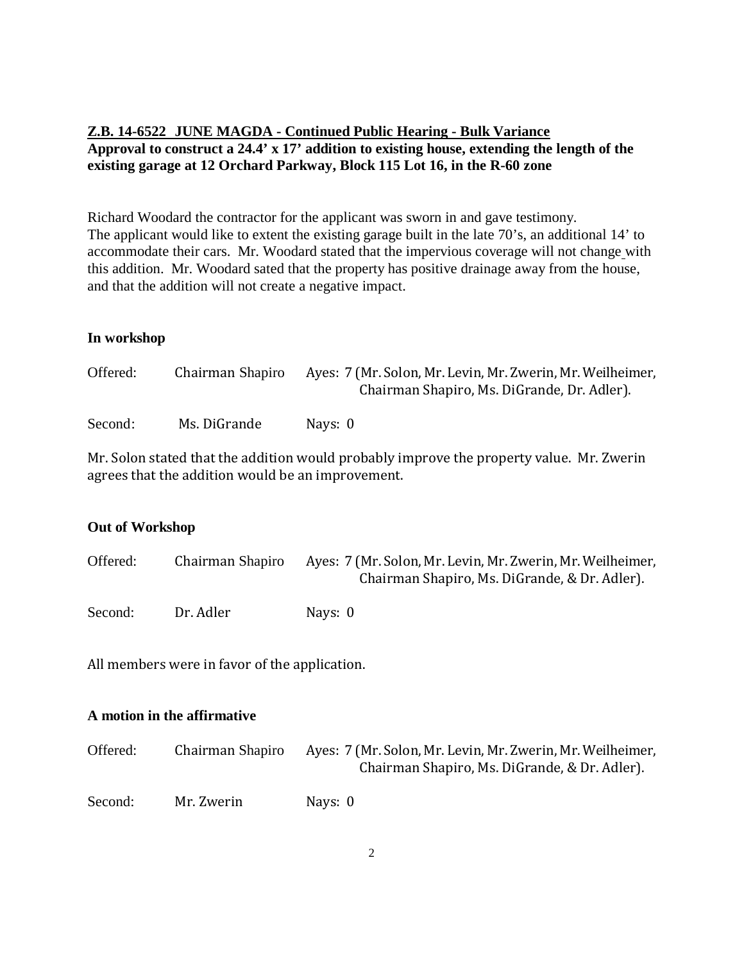### **Z.B. 14-6522 JUNE MAGDA - Continued Public Hearing - Bulk Variance Approval to construct a 24.4' x 17' addition to existing house, extending the length of the existing garage at 12 Orchard Parkway, Block 115 Lot 16, in the R-60 zone**

Richard Woodard the contractor for the applicant was sworn in and gave testimony. The applicant would like to extent the existing garage built in the late 70's, an additional 14' to accommodate their cars. Mr. Woodard stated that the impervious coverage will not change with this addition. Mr. Woodard sated that the property has positive drainage away from the house, and that the addition will not create a negative impact.

#### **In workshop**

| Offered: | Chairman Shapiro | Ayes: 7 (Mr. Solon, Mr. Levin, Mr. Zwerin, Mr. Weilheimer,<br>Chairman Shapiro, Ms. DiGrande, Dr. Adler). |
|----------|------------------|-----------------------------------------------------------------------------------------------------------|
| Second:  | Ms. DiGrande     | Navs: 0                                                                                                   |

Mr. Solon stated that the addition would probably improve the property value. Mr. Zwerin agrees that the addition would be an improvement.

#### **Out of Workshop**

| Offered: | Chairman Shapiro | Ayes: 7 (Mr. Solon, Mr. Levin, Mr. Zwerin, Mr. Weilheimer,<br>Chairman Shapiro, Ms. DiGrande, & Dr. Adler). |
|----------|------------------|-------------------------------------------------------------------------------------------------------------|
| Second:  | Dr. Adler        | Nays: 0                                                                                                     |

All members were in favor of the application.

### **A motion in the affirmative**

| Offered: | Chairman Shapiro | Ayes: 7 (Mr. Solon, Mr. Levin, Mr. Zwerin, Mr. Weilheimer,<br>Chairman Shapiro, Ms. DiGrande, & Dr. Adler). |
|----------|------------------|-------------------------------------------------------------------------------------------------------------|
| Second:  | Mr. Zwerin       | Nays: 0                                                                                                     |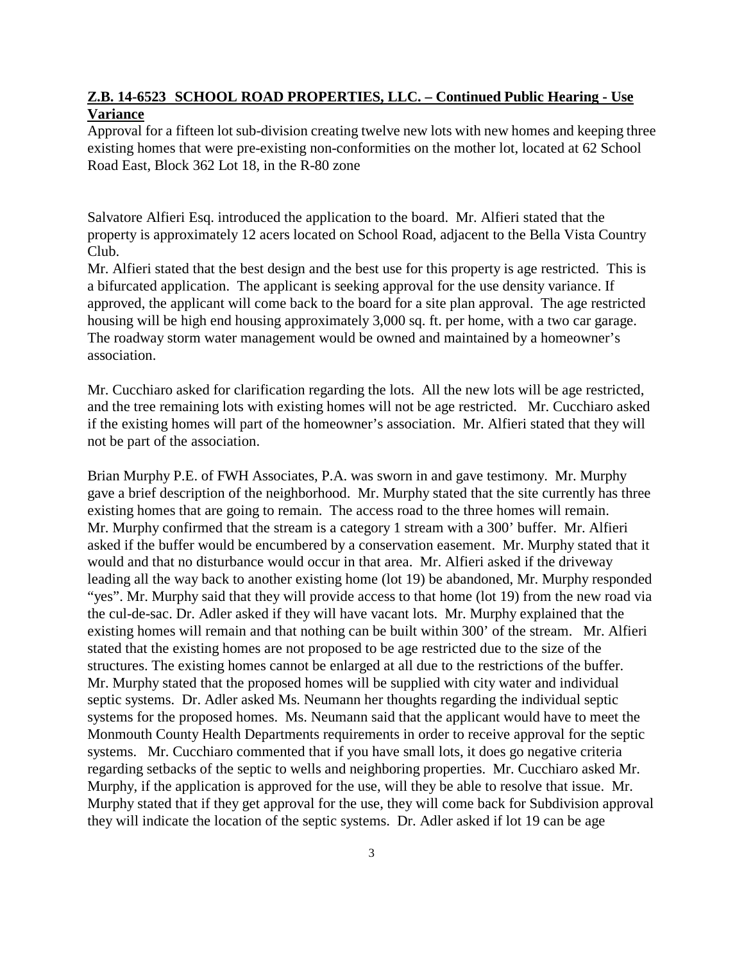#### **Z.B. 14-6523 SCHOOL ROAD PROPERTIES, LLC. – Continued Public Hearing - Use Variance**

Approval for a fifteen lot sub-division creating twelve new lots with new homes and keeping three existing homes that were pre-existing non-conformities on the mother lot, located at 62 School Road East, Block 362 Lot 18, in the R-80 zone

Salvatore Alfieri Esq. introduced the application to the board. Mr. Alfieri stated that the property is approximately 12 acers located on School Road, adjacent to the Bella Vista Country Club.

Mr. Alfieri stated that the best design and the best use for this property is age restricted. This is a bifurcated application. The applicant is seeking approval for the use density variance. If approved, the applicant will come back to the board for a site plan approval. The age restricted housing will be high end housing approximately 3,000 sq. ft. per home, with a two car garage. The roadway storm water management would be owned and maintained by a homeowner's association.

Mr. Cucchiaro asked for clarification regarding the lots. All the new lots will be age restricted, and the tree remaining lots with existing homes will not be age restricted. Mr. Cucchiaro asked if the existing homes will part of the homeowner's association. Mr. Alfieri stated that they will not be part of the association.

Brian Murphy P.E. of FWH Associates, P.A. was sworn in and gave testimony. Mr. Murphy gave a brief description of the neighborhood. Mr. Murphy stated that the site currently has three existing homes that are going to remain. The access road to the three homes will remain. Mr. Murphy confirmed that the stream is a category 1 stream with a 300' buffer. Mr. Alfieri asked if the buffer would be encumbered by a conservation easement. Mr. Murphy stated that it would and that no disturbance would occur in that area. Mr. Alfieri asked if the driveway leading all the way back to another existing home (lot 19) be abandoned, Mr. Murphy responded "yes". Mr. Murphy said that they will provide access to that home (lot 19) from the new road via the cul-de-sac. Dr. Adler asked if they will have vacant lots. Mr. Murphy explained that the existing homes will remain and that nothing can be built within 300' of the stream. Mr. Alfieri stated that the existing homes are not proposed to be age restricted due to the size of the structures. The existing homes cannot be enlarged at all due to the restrictions of the buffer. Mr. Murphy stated that the proposed homes will be supplied with city water and individual septic systems. Dr. Adler asked Ms. Neumann her thoughts regarding the individual septic systems for the proposed homes. Ms. Neumann said that the applicant would have to meet the Monmouth County Health Departments requirements in order to receive approval for the septic systems. Mr. Cucchiaro commented that if you have small lots, it does go negative criteria regarding setbacks of the septic to wells and neighboring properties. Mr. Cucchiaro asked Mr. Murphy, if the application is approved for the use, will they be able to resolve that issue. Mr. Murphy stated that if they get approval for the use, they will come back for Subdivision approval they will indicate the location of the septic systems. Dr. Adler asked if lot 19 can be age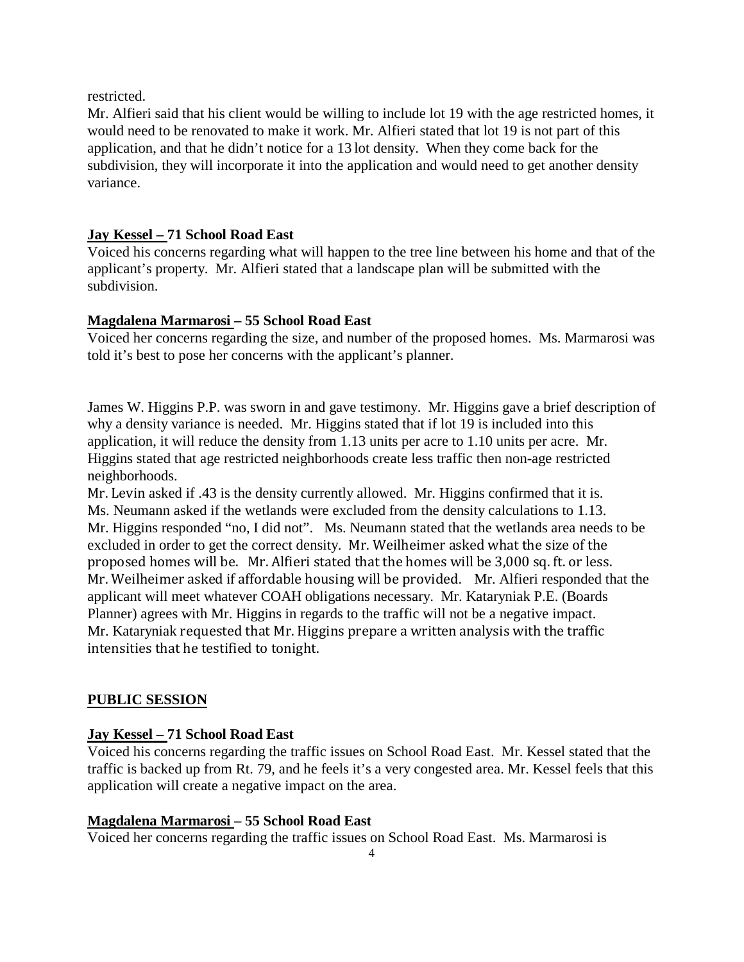restricted.

Mr. Alfieri said that his client would be willing to include lot 19 with the age restricted homes, it would need to be renovated to make it work. Mr. Alfieri stated that lot 19 is not part of this application, and that he didn't notice for a 13 lot density. When they come back for the subdivision, they will incorporate it into the application and would need to get another density variance.

# **Jay Kessel – 71 School Road East**

Voiced his concerns regarding what will happen to the tree line between his home and that of the applicant's property. Mr. Alfieri stated that a landscape plan will be submitted with the subdivision.

### **Magdalena Marmarosi – 55 School Road East**

Voiced her concerns regarding the size, and number of the proposed homes. Ms. Marmarosi was told it's best to pose her concerns with the applicant's planner.

James W. Higgins P.P. was sworn in and gave testimony. Mr. Higgins gave a brief description of why a density variance is needed. Mr. Higgins stated that if lot 19 is included into this application, it will reduce the density from 1.13 units per acre to 1.10 units per acre. Mr. Higgins stated that age restricted neighborhoods create less traffic then non-age restricted neighborhoods.

Mr. Levin asked if .43 is the density currently allowed. Mr. Higgins confirmed that it is. Ms. Neumann asked if the wetlands were excluded from the density calculations to 1.13. Mr. Higgins responded "no, I did not". Ms. Neumann stated that the wetlands area needs to be excluded in order to get the correct density. Mr. Weilheimer asked what the size of the proposed homes will be. Mr. Alfieri stated that the homes will be 3,000 sq. ft. or less. Mr. Weilheimer asked if affordable housing will be provided. Mr. Alfieri responded that the applicant will meet whatever COAH obligations necessary. Mr. Kataryniak P.E. (Boards Planner) agrees with Mr. Higgins in regards to the traffic will not be a negative impact. Mr. Kataryniak requested that Mr. Higgins prepare a written analysis with the traffic intensities that he testified to tonight.

# **PUBLIC SESSION**

# **Jay Kessel – 71 School Road East**

Voiced his concerns regarding the traffic issues on School Road East. Mr. Kessel stated that the traffic is backed up from Rt. 79, and he feels it's a very congested area. Mr. Kessel feels that this application will create a negative impact on the area.

# **Magdalena Marmarosi – 55 School Road East**

Voiced her concerns regarding the traffic issues on School Road East. Ms. Marmarosi is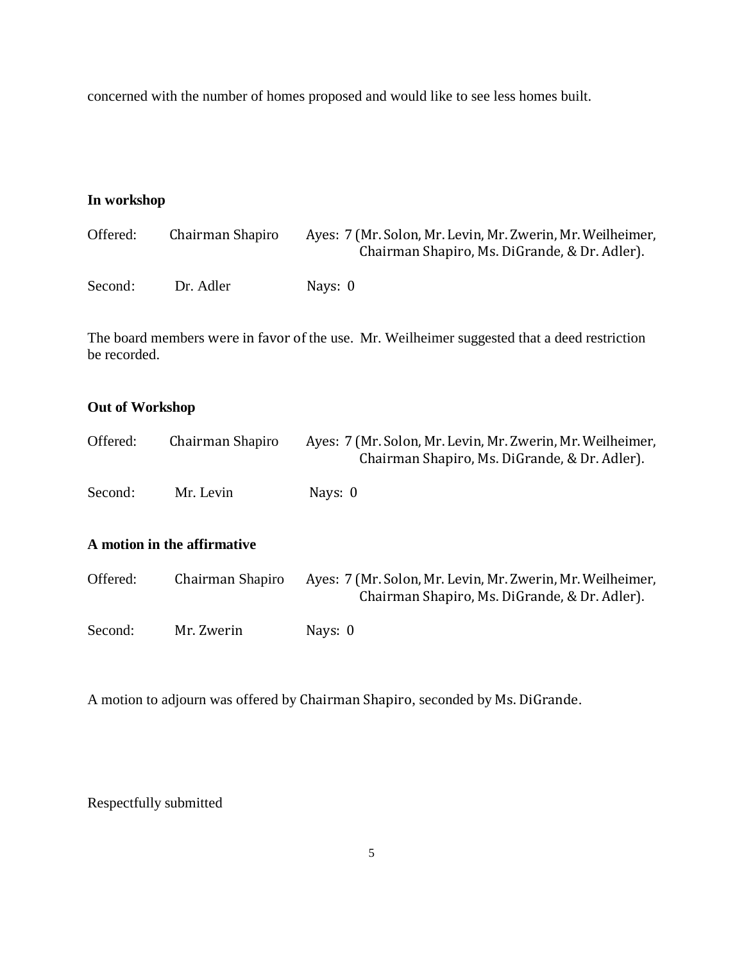concerned with the number of homes proposed and would like to see less homes built.

# **In workshop**

| Offered: | Chairman Shapiro | Ayes: 7 (Mr. Solon, Mr. Levin, Mr. Zwerin, Mr. Weilheimer,<br>Chairman Shapiro, Ms. DiGrande, & Dr. Adler). |
|----------|------------------|-------------------------------------------------------------------------------------------------------------|
| Second:  | Dr. Adler        | Navs: 0                                                                                                     |

The board members were in favor of the use. Mr. Weilheimer suggested that a deed restriction be recorded.

### **Out of Workshop**

| Offered: | Chairman Shapiro            | Ayes: 7 (Mr. Solon, Mr. Levin, Mr. Zwerin, Mr. Weilheimer,<br>Chairman Shapiro, Ms. DiGrande, & Dr. Adler). |
|----------|-----------------------------|-------------------------------------------------------------------------------------------------------------|
| Second:  | Mr. Levin                   | Nays: 0                                                                                                     |
|          | A motion in the affirmative |                                                                                                             |
| Offered: | Chairman Shapiro            | Ayes: 7 (Mr. Solon, Mr. Levin, Mr. Zwerin, Mr. Weilheimer,<br>Chairman Shapiro, Ms. DiGrande, & Dr. Adler). |
| Second:  | Mr. Zwerin                  | Nays: 0                                                                                                     |

A motion to adjourn was offered by Chairman Shapiro, seconded by Ms. DiGrande.

Respectfully submitted